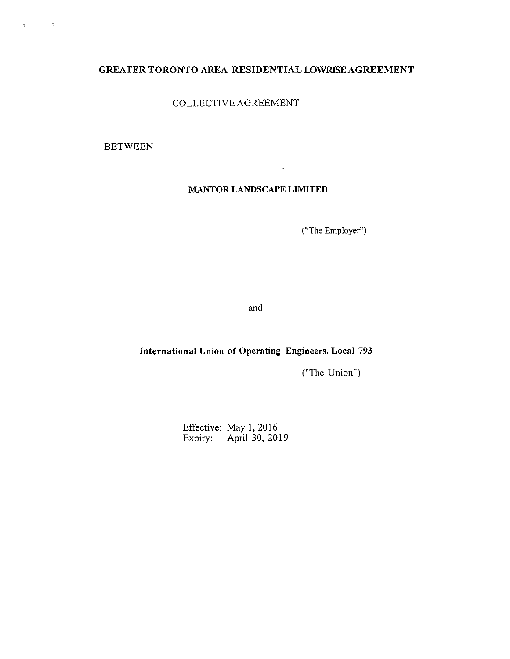# GREATER TORONTO AREA RESIDENTIAL LOWRISEAGREEMENT

COLLECTIVE AGREEMENT

BETWEEN

 $\mathbf{v}$ 

 $\mathcal{O}(\mathcal{O}_N)$ 

# MANTOR LANDSCAPE LIMITED

 $\ddot{\phantom{a}}$ 

("The Employer")

and

# International Union of Operating Engineers, Local 793

("The Union")

Effective: May I, 2016 Expiry: April 30, 2019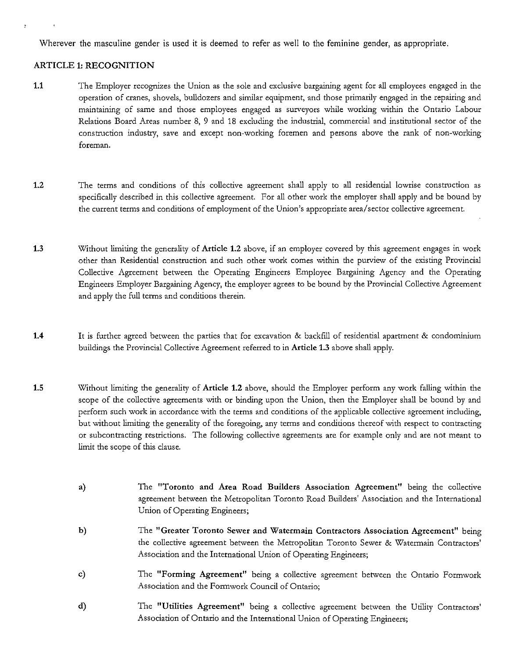Wherever the masculine gender is used it is deemed to refer as well to the feminine gender, as appropriate.

#### ARTICLE 1: RECOGNITION

- 1.1 The Employer recognizes the Union as the sole and exclusive bargaining agent for all employees engaged in the operation of cranes, shovels, bulldozers and similar equipment, and those primarily engaged in the repairing and maintaining of same and those employees engaged as surveyors while working within the Ontario Labour Relations Board Areas number 8, 9 and 18 excluding the industrial, commercial and institutional sector of the construction industry, save and except non-working foremen and persons above the rank of non-working **foreman.**
- 1.2 The terms and conditions of this collective agreement shall apply to all residential lowrise construction as specifically described in this collective agreement. For all other work the employer shall apply and be bound by **the current terms and conditions of employment of the Union's appropriate area/sector collective agreement.**
- 1.3 Without limiting the generality of Article 1.2 above, if an employer covered by this agreement engages in work other than Residential construction and such other work comes within the purview of the existing Provincial Collective Agreement between the Operating Engineers Employee Bargaining Agency and the Operating Engineers Employer Bargaining Agency, the employer agrees to be bound by the Provincial Collective Agreement and apply the full terms and conditions therein.
- 1.4 It is further agreed between the parties that for excavation & backfill of residential apartment & condominium buildings the Provincial Collective Agreement referred to in Article 1.3 above shall apply.
- 1.5 Without limiting the generality of Article 1.2 above, should the Employer perform any work falling within the scope of the collective agreements with or binding upon the Union, then the Employer shall be bound by and perform such work in accordance with the terms and conditions of the applicable collective agreement including, but without limiting the generality of the foregoing, any terms and conditions thereof with respect to contracting **or subcontracting restrictions. The following collective agreements are for example only and are not meant to**  limit the scope of this clause.
	- a) The "Toronto and Area Road Builders Association Agreement" being the collective agreement between the Metropolitan Toronto Road Builders' Association and the International Union of Operating Engineers;
	- b) The "Greater Toronto Sewer and Watermain Contractors Association Agreement" being the collective agreement between the Metropolitan Toronto Sewer & Watermain Contractors' Association and the International Union of Operating Engineers;
	- c) The "Forming Agreement" being a collective agreement between the Ontario Formwork Association and the Formwork Council of Ontario;
	- d) The "Utilities Agreement" being a collective agreement between the Utility Contractors' Association of Ontario and the International Union of Operating Engineers;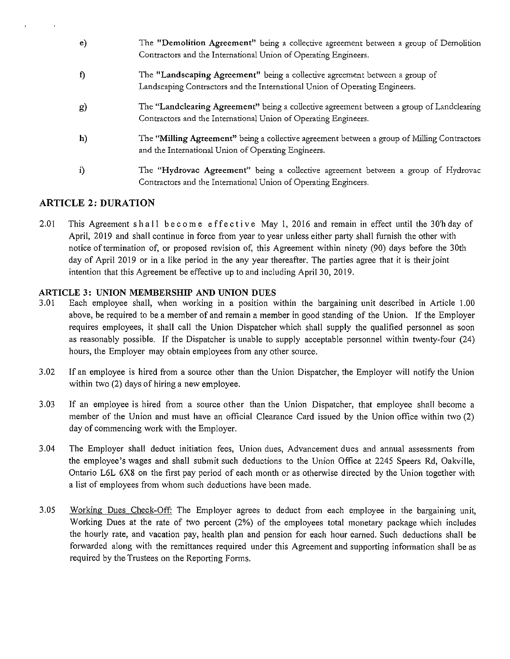- e) The "Demolition Agreement" being a collective agreement between a group of Demolition Contractors and the International Union of Operating Engineers.
- f) The "Landscaping Agreement" being a collective agreement between a group of Landscaping Contractors and the International Union of Operating Engineers.
- g) The "Landclearing Agreement" being a collective agreement between a group of Landclearing Contractors and the International Union of Operating Engineers.
- **h)**  The **"Milling** Agreement" being a collective agreement between a group of Milling Contractors and the International Union of Operating Engineers.
- i) The "Hydrovac Agreement" being a collective agreement between a group of Hydrovac Contractors and the International Union of Operating Engineers.

# **ARTICLE 2: DURATION**

2.01 This Agreement shall become effective May 1, 2016 and remain in effect until the 30'h day of April, 2019 and shall continue in force from year to year unless either party shall furnish the other with notice of termination of, or proposed revision of, this Agreement within ninety (90) days before the 30th day of April 2019 or in a like period in the any year thereafter. The parties agree that it is their joint intention that this Agreement be effective up to and including April 30, 2019.

#### **ARTICLE 3: UNION MEMBERSHIP AND UNION DUES**

- 3.01 Each employee shall, when working in a position within the bargaining unit described in Article 1.00 above, be required to be a member of and remain a member in good standing of the Union. If the Employer requires employees, it shall call the Union Dispatcher which shall supply the qualified personnel as soon as reasonably possible. If the Dispatcher is unable to supply acceptable personnel within twenty-four (24) hours, the Employer may obtain employees from any other source.
- 3.02 If an employee is hired from a source other than the Union Dispatcher, the Employer will notify the Union within two (2) days of hiring a new employee.
- 3 .03 If an employee is hired from a source other than the Union Dispatcher, that employee shall become a member of the Union and must have an official Clearance Card issued by the Union office within two (2) day of commencing work with the Employer.
- 3.04 The Employer shall deduct initiation fees, Union dues, Advancement dues and annual assessments from the employee's wages and shall submit such deductions to the Union Office at 2245 Speers Rd, Oakville, Ontario L6L 6X8 on the first pay period of each month or as otherwise directed by the Union together with a list of employees from whom such deductions have been made.
- 3.05 Working Dues Check-Off: The Employer agrees to deduct from each employee in the bargaining unit, Working Dues at the rate of two percent (2%) of the employees total monetary package which includes the hourly rate, and vacation pay, health plan and pension for each hour earned. Such deductions shall be forwarded along with the remittances required under this Agreement and supporting information shall be as required by the Trustees on the Reporting Forms.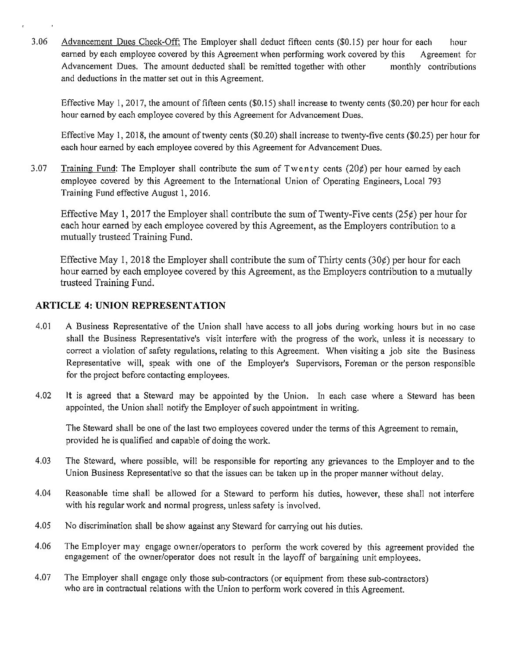3.06 Advancement Dues Check-Off: The Employer shall deduct fifteen cents (\$0.15) per hour for each hour earned by each employee covered by this Agreement when performing work covered by this Agreement for Advancement Dues. The amount deducted shall be remitted together with other monthly contributions and deductions in the matter set out in this Agreement.

Effective May I, 2017, the amount of fifteen cents (\$0.15) shall increase to twenty cents (\$0.20) per hour for each hour earned by each employee covered by this Agreement for Advancement Dues.

Effective May 1, 2018, the amount of twenty cents (\$0.20) shall increase to twenty-five cents (\$0.25) per hour for each hour earned by each employee covered by this Agreement for Advancement Dues.

3.07 Training Fund: The Employer shall contribute the sum of Twenty cents  $(20¢)$  per hour earned by each employee covered by this Agreement to the International Union of Operating Engineers, Local 793 Training Fund effective August 1, 2016.

Effective May 1, 2017 the Employer shall contribute the sum of Twenty-Five cents (25¢) per hour for each hour earned by each employee covered by this Agreement, as the Employers contribution to a mutually trusteed Training Fund.

Effective May 1, 2018 the Employer shall contribute the sum of Thirty cents  $(30¢)$  per hour for each hour earned by each employee covered by this Agreement, as the Employers contribution to a mutually trusteed Training Fund.

# **ARTICLE 4: UNION REPRESENTATION**

- 4.01 A Business Representative of the Union shall have access to all jobs during working hours but in no case shall the Business Representative's visit interfere with the progress of the work, unless it is necessary to correct a violation of safety regulations, relating to this Agreement. When visiting a job site the Business Representative will, speak with one of the Employer's Supervisors, Foreman or the person responsible for the project before contacting employees.
- 4.02 It is agreed that a Steward may be appointed by the Union. In each case where a Steward has been appointed, the Union shall notify the Employer of such appointment in writing.

The Steward shall be one of the last two employees covered under the terms of this Agreement to remain, provided he is qualified and capable of doing the work.

- 4.03 The Steward, where possible, will be responsible for reporting any grievances to the Employer and to the Union Business Representative so that the issues can be taken up in the proper manner without delay.
- 4.04 Reasonable time shall be allowed for a Steward to perform his duties, however, these shall not interfere with his regular work and normal progress, unless safety is involved.
- 4.05 No discrimination shall be show against any Steward for carrying out his duties.
- 4.06 The Employer may engage owner/operators to perform the work covered by this agreement provided the engagement of the owner/operator does not result in the layoff of bargaining unit employees.
- 4.07 The Employer shall engage only those sub-contractors (or equipment from these sub-contractors) who are in contractual relations with the Union to perform work covered in this Agreement.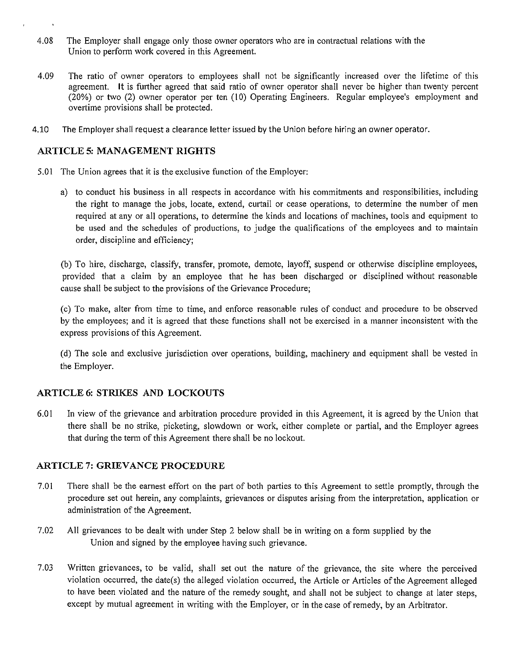- 4.08 The Employer shall engage only those owner operators who are in contractual relations with the Union to perform work covered in this Agreement.
- 4.09 The ratio of owner operators to employees shall not be significantly increased over the lifetime of this agreement. It is further agreed that said ratio of owner operator shall never be higher than twenty percent (20%) or two (2) owner operator per ten (10) Operating Engineers. Regular employee's employment and overtime provisions shall be protected.
- 4.10 The Employer shall request a clearance letter issued by the Union before hiring an owner operator.

#### **ARTICLE** *5:* **MANAGEMENT RIGHTS**

- 5.01 The Union agrees that it is the exclusive function of the Employer:
	- a) to conduct his business in all respects in accordance with his commitments and responsibilities, including the right to manage the jobs, locate, extend, curtail or cease operations, to determine the number of men required at any or all operations, to determine the kinds and locations of machines, tools and equipment to be used and the schedules of productions, to judge the qualifications of the employees and to maintain order, discipline and efficiency;

(b) To hire, discharge, classify, transfer, promote, demote, layoff, suspend or otherwise discipline employees, provided that a claim by an employee that he has been discharged or disciplined without reasonable cause shall be subject to the provisions of the Grievance Procedure;

(c) To make, alter from time to time, and enforce reasonable rules of conduct and procedure to be observed by the employees; and it is agreed that these functions shall not be exercised in a manner inconsistent with the express provisions of this Agreement.

(d) The sole and exclusive jurisdiction over operations, building, machinery and equipment shall be vested in the Employer.

### **ARTICLE 6: STRIKES AND LOCKOUTS**

6.01 In view of the grievance and arbitration procedure provided in this Agreement, it is agreed by the Union that there shall be no strike, picketing, slowdown or work, either complete or partial, and the Employer agrees that during the term of this Agreement there shall be no lockout.

#### **ARTICLE 7: GRIEVANCE PROCEDURE**

- 7.01 There shall be the earnest effort on the part of both parties to this Agreement to settle promptly, through the procedure set out herein, any complaints, grievances or disputes arising from the interpretation, application or administration of the Agreement.
- 7.02 All grievances to be dealt with under Step 2 below shall be in writing on a form supplied by the Union and signed by the employee having such grievance.
- 7 .03 Written grievances, to be valid, shall set out the nature of the grievance, the site where the perceived violation occurred, the date(s) the alleged violation occurred, the Article or Articles of the Agreement alleged to have been violated and the nature of the remedy sought, and shall not be subject to change at later steps, except by mutual agreement in writing with the Employer, or in the case of remedy, by an Arbitrator.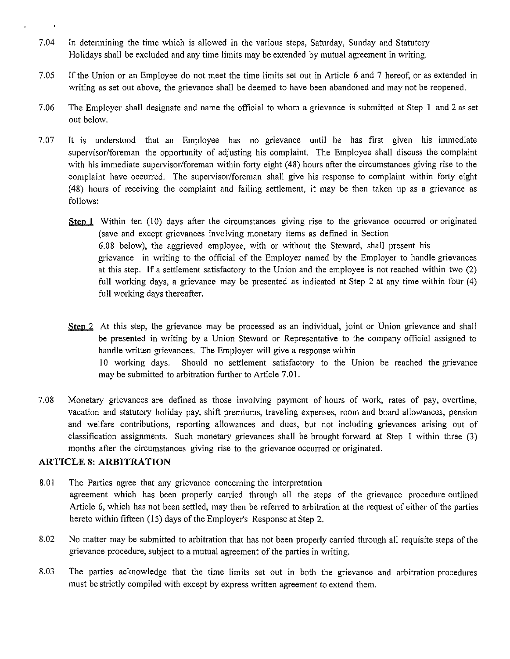- 7.04 In detennining the time which is allowed in the various steps, Saturday, Sunday and Statutory Holidays shall be excluded and any time limits may be extended by mutual agreement in writing.
- 7.05 If the Union or an Employee do not meet the time limits set out in Article 6 and 7 hereof, or as extended in writing as set out above, the grievance shall be deemed to have been abandoned and may not be reopened.
- 7.06 The Employer shall designate and name the official to whom a grievance is submitted at Step 1 and 2 as set out below.
- 7.07 It is understood that an Employee has no grievance until he has first given his immediate supervisor/foreman the opportunity of adjusting his complaint. The Employee shall discuss the complaint with his immediate supervisor/foreman within forty eight ( 48) hours after the circumstances giving rise to the complaint have occurred. The supervisor/foreman shall give his response to complaint within forty eight (48) hours of receiving the complaint and failing settlement, it may be then taken up as a grievance as follows:

**fillm** fenction. **fill** the circumstances giving rise to the grievance occurred or originated (save and except grievances involving monetary items as defined in Section 6.08 below), the aggrieved employee, with or without the Steward, shall present his grievance in writing to the official of the Employer named by the Employer to handle grievances at this step. **If** a settlement satisfactory to the Union and the employee is not reached within two (2) full working days, a grievance may be presented as indicated at Step 2 at any time within four (4) full working days thereafter.

Step 2. At this step, the grievance may be processed as an individual, joint or Union grievance and shall be presented in writing by a Union Steward or Representative to the company official assigned to handle written grievances. The Employer will give a response within 10 working days. Should no settlement satisfactory to the Union be reached the grievance may be submitted to arbitration further to Article 7.01.

7.08 Monetary grievances are defined as those involving payment of hours of work, rates of pay, overtime, vacation and statutory holiday pay, shift premiums, traveling expenses, room and board allowances, pension and welfare contributions, reporting allowances and dues, but not including grievances arising out of classification assignments. Such monetary grievances shall be brought forward at Step 1 within three (3) months after the circumstances giving rise to the grievance occurred or originated.

#### **ARTICLE 8: ARBITRATION**

- 8.01 The Parties agree that any grievance concerning the interpretation agreement which has been properly carried through all the steps of the grievance procedure outlined Atticle 6, which has not been settled, may then be referred to arbitration at the request of either of the parties hereto within fifteen (15) days of the Employer's Response at Step 2.
- 8.02 No matter may be submitted to arbitration that has not been properly carried through all requisite steps of the grievance procedure, subject to a mutual agreement of the parties in writing.
- 8.03 The parties acknowledge that the time limits set out in both the grievance and arbitration procedures must be strictly compiled with except by express written agreement to extend them.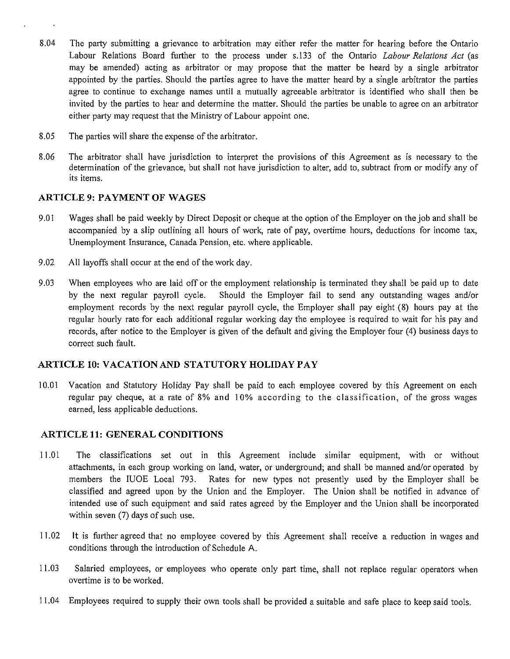- 8.04 The party submitting a grievance to arbitration may either refer the matter for hearing before the Ontario Labour Relations Board further to the process under s.133 of the Ontario *Labour Relations Act* (as may be amended) acting as arbitrator or may propose that the matter be heard by a single arbitrator appointed by the parties. Should the parties agree to have the matter heard by a single arbitrator the parties agree to continue to exchange names until a mutually agreeable arbitrator is identified who shall then be invited by the parties to hear and determine the matter. Should the parties be unable to agree on an arbitrator either party may request that the Ministry of Labour appoint one.
- 8.05 The parties will share the expense of the arbitrator.
- 8.06 The arbitrator shall have jurisdiction to interpret the provisions of this Agreement as is necessary to the determination of the grievance, but shall not have jurisdiction to alter, add to, subtract from or modify any of its items.

### **ARTICLE 9: PAYMENT OF WAGES**

- 9.01 Wages shall be paid weekly by Direct Deposit or cheque at the option of the Employer on the job and shall be accompanied by a slip outlining all hours of work, rate of pay, overtime hours, deductions for income tax, Unemployment Insurance, Canada Pension, etc. where applicable.
- 9.02 All layoffs shall occur at the end of the work day.
- 9.03 When employees who are laid off or the employment relationship is terminated they shall be paid up to date by the next regular payroll cycle. Should the Employer fail to send any outstanding wages and/or employment records by the next regular payroll cycle, the Employer shall pay eight (8) hours pay at the regular hourly rate for each additional regular working day the employee is required to wait for his pay and records, after notice to the Employer is given of the default and giving the Employer four (4) business days to correct such fault.

### **ARTICLE 10: VACATION AND STATUTORY HOLIDAY PAY**

10.01 Vacation and Statutory Holiday Pay shall be paid to each employee covered by this Agreement on each regular pay cheque, at a rate of 8% and 10% according to the classification, of the gross wages earned, less applicable deductions.

### **ARTICLE 11: GENERAL CONDITIONS**

- 11.01 The classifications set out in this Agreement include similar equipment, with or without attachments, in each group working on land, water, or underground; and shall be manned and/or operated by members the IUOE Local 793. Rates for new types not presently used by the Employer shall be classified and agreed upon by the Union and the Employer. The Union shall be notified in advance of intended use of such equipment and said rates agreed by the Employer and the Union shall be incorporated within seven (7) days of such use.
- 11.02 It is further agreed that no employee covered by this Agreement shall receive a reduction in wages and conditions through the introduction of Schedule A.
- 11.03 Salaried employees, or employees who operate only part time, shall not replace regular operators when overtime is to be worked.
- 11.04 Employees required to supply their own tools shall be provided a suitable and safe place to keep said tools.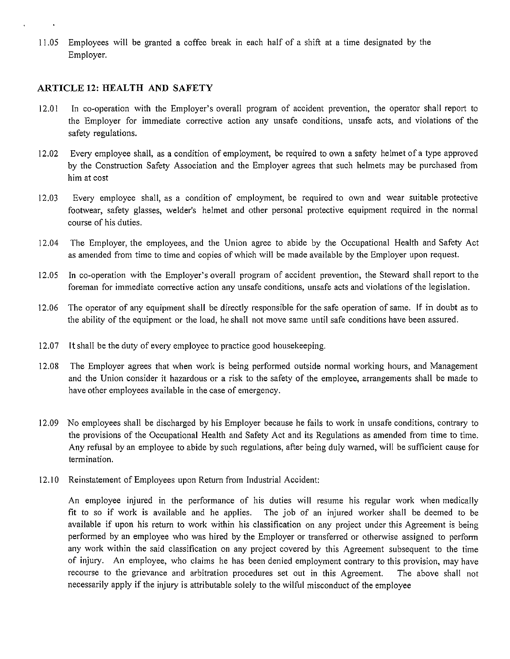11.05 Employees will be granted a coffee break in each half of a shift at a time designated by the Employer.

#### **ARTICLE 12: HEALTH AND SAFETY**

- 12.01 In co-operation with the Employer's overall program of accident prevention, the operator shall report to the Employer for immediate corrective action any unsafe conditions, unsafe acts, and violations of the safety regulations.
- 12.02 Every employee shall, as a condition of employment, be required to own a safety helmet of a type approved by the Construction Safety Association and the Employer agrees that such helmets may be purchased from him at cost
- 12.03 Every employee shall, as a condition of employment, be required to own and wear suitable protective footwear, safety glasses, welder's helmet and other personal protective equipment required in the nonnal course of his duties.
- 12.04 The Employer, the employees, and the Union agree to abide by the Occupational Health and Safety Act as amended from time to time and copies of which will be made available by the Employer upon request.
- 12.05 In co-operation with the Employer's overall program of accident prevention, the Steward shall report to the foreman for immediate corrective action any unsafe conditions, unsafe acts and violations of the legislation.
- 12.06 The operator of any equipment shall be directly responsible for the safe operation of same. If in doubt as to the ability of the equipment or the load, he shall not move same until safe conditions have been assured.
- 12.07 It shall be the duty of every employee to practice good housekeeping.
- 12.08 The Employer agrees that when work is being performed outside normal working hours, and Management and the Union consider it hazardous or a risk to the safety of the employee, arrangements shall be made to have other employees available in the case of emergency.
- 12.09 No employees shall be discharged by his Employer because he fails to work in unsafe conditions, contrary to the provisions of the Occupational Health and Safety Act and its Regulations as amended from time to time. Any refusal by an employee to abide by such regulations, after being duly warned, will be sufficient cause for termination.
- 12.10 Reinstatement of Employees upon Return from Industrial Accident:

An employee injured in the performance of his duties will resume his regular work when medically fit to so if work is available and he applies. The job of an injured worker shall be deemed to be available if upon his return to work within his classification on any project under this Agreement is being performed by an employee who was hired by the Employer or transferred or otherwise assigned to perform any work within the said classification on any project covered by this Agreement subsequent to the time of injury. An employee, who claims he has been denied employment contrary to this provision, may have recourse to the grievance and arbitration procedures set out in this Agreement. The above shall not necessarily apply if the injury is attributable solely to the wilful misconduct of the employee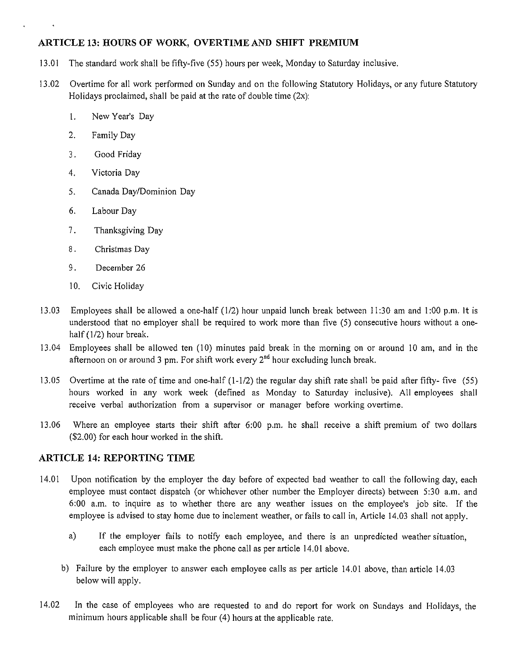# **ARTICLE 13: HOURS OF WORK, OVERTIME AND SHIFT PREMIUM**

- 13.01 The standard work shall be fifty-five (55) hours per week, Monday to Saturday inclusive.
- 13.02 Overtime for all work performed on Sunday and on the following Statutory Holidays, or any future Statutory Holidays proclaimed, shall be paid at the rate of double time  $(2x)$ :
	- 1. NewYear's Day
	- 2. Family Day
	- 3. Good Friday
	- 4. Victoria Day
	- 5. Canada Day/Dominion Day
	- 6. Labour Day
	- 7. Thanksgiving Day
	- 8. Christmas Day
	- 9. December 26
	- 10. Civic Holiday
- 13.03 Employees shall be allowed a one-half (1/2) hour unpaid lunch break between 11:30 am and 1:00 p.m. It is understood that no employer shall be required to work more than five (5) consecutive hours without a onehalf (1/2) hour break.
- 13 .04 Employees shall be allowed ten (10) minutes paid break in the morning on or around 10 am, and in the afternoon on or around 3 pm. For shift work every  $2<sup>nd</sup>$  hour excluding lunch break.
- 13.05 Overtime at the rate of time and one-half (1-1/2) the regular day shift rate shall be paid after fifty- five (55) hours worked in any work week (defined as Monday to Saturday inclusive). All employees shall receive verbal authorization from a supervisor or manager before working overtime.
- 13.06 Where an employee starts their shift after 6:00 p.m. he shall receive a shift premium of two dollars (\$2.00) for each hour worked in the shift.

### **ARTICLE 14: REPORTING TIME**

- 14.01 Upon notification by the employer the day before of expected bad weather to call the following day, each employee must contact dispatch (or whichever other number the Employer directs) between 5:30 a.m. and 6:00 a.m. to inquire as to whether there are any weather issues on the employee's job site. If the employee is advised to stay home due to inclement weather, or fails to call in, A1ticle 14.03 shall not apply.
	- a) If the employer fails to notify each employee, and there is an unpredicted weather situation, each employee must make the phone call as per article 14.01 above.
	- b) Failure by the employer to answer each employee calls as per article 14.01 above, than article 14.03 below will apply.
- 14.02 In the case of employees who are requested to and do report for work on Sundays and Holidays, the minimum hours applicable shall be four (4) hours at the applicable rate.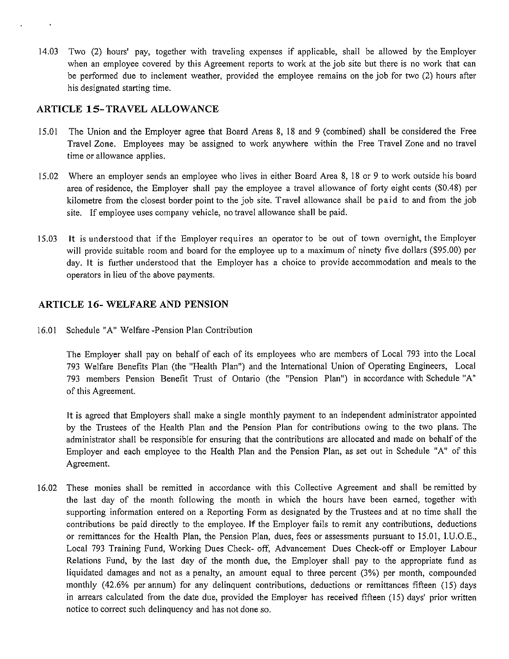14.03 Two (2) hours' pay, together with traveling expenses if applicable, shall be allowed by the Employer when an employee covered by this Agreement reports to work at the job site but there is no work that can be performed due to inclement weather, provided the employee remains on the job for two (2) hours after his designated starting time.

### **ARTICLE 15-TRAVEL ALLOWANCE**

- 15.01 The Union and the Employer agree that Board Areas 8, 18 and 9 (combined) shall be considered the Free Travel Zone. Employees may be assigned to work anywhere within the Free Travel Zone and no travel time or allowance applies.
- 15.02 Where an employer sends an employee who lives in either Board Area 8, 18 or 9 to work outside his board area of residence, the Employer shall pay the employee a travel allowance of forty eight cents (\$0.48) per kilometre from the closest border point to the job site. Travel allowance shall be paid to and from the job site. If employee uses company vehicle, no travel allowance shall be paid.
- 15.03 It is understood that if the Employer requires an operator to be out of town overnight, the Employer will provide suitable room and board for the employee up to a maximum of ninety five dollars (\$95.00) per day. It is further understood that the Employer has a choice to provide accommodation and meals to the operators in lieu of the above payments.

# **ARTICLE 16- WELFARE AND PENSION**

16.01 Schedule "A" Welfare -Pension Plan Contribution

The Employer shall pay on behalf of each of its employees who are members of Local 793 into the Local 793 Welfare Benefits Plan (the "Health Plan") and the International Union of Operating Engineers, Local 793 members Pension Benefit Trust of Ontario (the "Pension Plan") in accordance with Schedule "A" of this Agreement.

It is agreed that Employers shall make a single monthly payment to an independent administrator appointed by the Trustees of the Health Plan and the Pension Plan for contributions owing to the two plans. The administrator shall be responsible for ensuring that the contributions are allocated and made on behalf of the Employer and each employee to the Health Plan and the Pension Plan, as set out in Schedule "A" of this Agreement.

16.02 These monies shall be remitted in accordance with this Collective Agreement and shall be remitted by the last day of the month following the month in which the hours have been earned, together with supporting information entered on a Reporting Form as designated by the Trustees and at no time shall the contributions be paid directly to the employee. If the Employer fails to remit any contributions, deductions or remittances for the Health Plan, the Pension Plan, dues, fees or assessments pursuant to 15.01, I.U.O.E., Local 793 Training Fund, Working Dues Check- off, Advancement Dues Check-off or Employer Labour Relations Fund, by the last day of the month due, the Employer shall pay to the appropriate fund as liquidated damages and not as a penalty, an amount equal to three percent (3%) per month, compounded monthly ( 42.6% per annum) for any delinquent contributions, deductions or remittances fifteen (15) days in arrears calculated from the date due, provided the Employer has received fifteen (15) days' prior written notice to correct such delinquency and has not done so.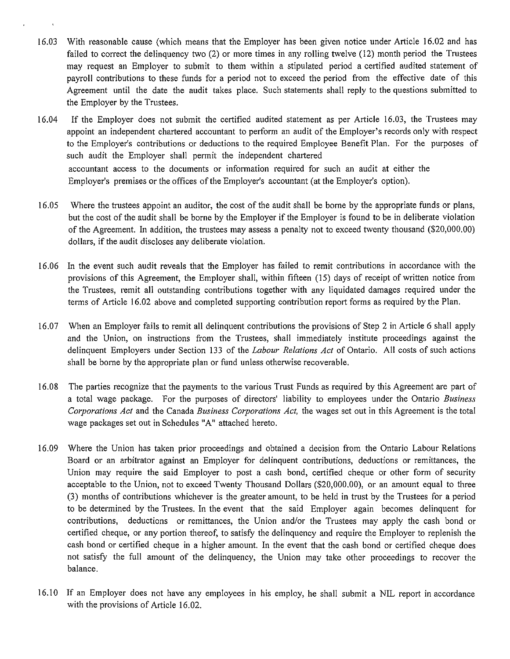- 16.03 With reasonable cause (which means that the Employer has been given notice under Article 16.02 and has failed to correct the delinquency two (2) or more times in any rolling twelve (12) month period the Trustees may request an Employer to submit to them within a stipulated period a certified audited statement of payroll contributions to these funds for a period not to exceed the period from the effective date of this Agreement until the date the audit takes place. Such statements shall reply to the questions submitted to the Employer by the Trustees.
- 16.04 If the Employer does not submit the certified audited statement as per Article 16.03, the Trustees may appoint an independent chartered accountant to perform an audit of the Employer's records only with respect to the Employer's contributions or deductions to the required Employee Benefit Plan. For the purposes of such audit the Employer shall permit the independent chartered accountant access to the documents or information required for such an audit at either the Employer's premises or the offices of the Employer's accountant (at the Employer's option).
- 16.05 Where the trustees appoint an auditor, the cost of the audit shall be borne by the appropriate funds or plans, but the cost of the audit shall be borne by the Employer if the Employer is found to be in deliberate violation of the Agreement. In addition, the trustees may assess a penalty not to exceed twenty thousand (\$20,000.00) dollars, if the audit discloses any deliberate violation.
- 16.06 In the event such audit reveals that the Employer has failed to remit contributions in accordance with the provisions of this Agreement, the Employer shall, within fifteen (15) days of receipt of written notice from the Trustees, remit all outstanding contributions together with any liquidated damages required under the terms of Article 16.02 above and completed supporting contribution report forms as required by the Plan.
- 16.07 When an Employer fails to remit all delinquent contributions the provisions of Step 2 in Article 6 shall apply and the Union, on instructions from the Trustees, shall immediately institute proceedings against the delinquent Employers under Section 133 of the *Labour Relations Act* of Ontario. All costs of such actions shall be borne by the appropriate plan or fund unless otherwise recoverable.
- 16.08 The parties recognize that the payments to the various Trust Funds as required by this Agreement are part of a total wage package. For the purposes of directors' liability to employees under the Ontario *Business Corporations Act* and the Canada *Business Corporations Act,* the wages set out in this Agreement is the total wage packages set out in Schedules "A" attached hereto.
- 16.09 Where the Union has taken prior proceedings and obtained a decision from the Ontario Labour Relations Board or an arbitrator against an Employer for delinquent contributions, deductions or remittances, the Union may require the said Employer to post a cash bond, certified cheque or other form of security acceptable to the Union, not to exceed Twenty Thousand Dollars (\$20,000.00), or an amount equal to three (3) months of contributions whichever is the greater amount, to be held in trust by the Trustees for a period to be determined by the Trustees. In the event that the said Employer again becomes delinquent for contributions, deductions or remittances, the Union and/or the Trustees may apply the cash bond or certified cheque, or any portion thereof, to satisfy the delinquency and require the Employer to replenish the cash bond or certified cheque in a higher amount. In the event that the cash bond or certified cheque does not satisfy the full amount of the delinquency, the Union may take other proceedings to recover the balance.
- 16.10 If an Employer does not have any employees in his employ, he shall submit a NIL report in accordance with the provisions of Article 16.02.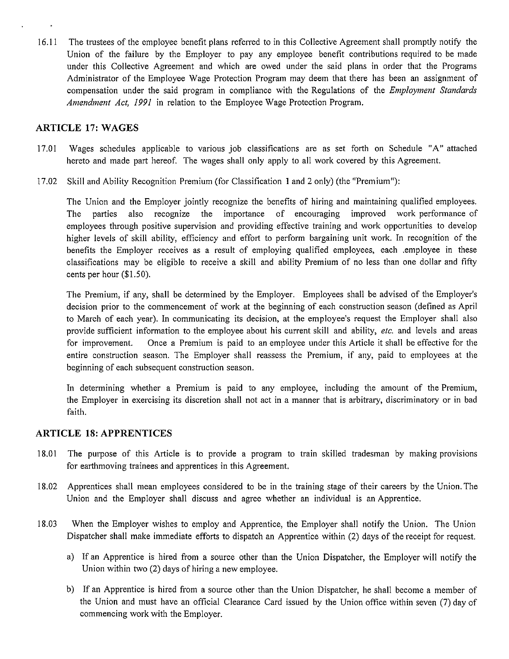16.11 The trustees of the employee benefit plans referred to in this Collective Agreement shall promptly notify the Union of the failure by the Employer to pay any employee benefit contributions required to be made under this Collective Agreement and which are owed under the said plans in order that the Programs Administrator of the Employee Wage Protection Program may deem that there has been an assignment of compensation under the said program in compliance with the Regulations of the *Employment Standards Amendment Act, 1991* in relation to the Employee Wage Protection Program.

### **ARTICLE 17: WAGES**

- 17.01 Wages schedules applicable to various job classifications are as set forth on Schedule "A" attached hereto and made part hereof. The wages shall only apply to all work covered by this Agreement.
- 17.02 Skill and Ability Recognition Premium (for Classification 1 and 2 only) (the "Premium"):

The Union and the Employer jointly recognize the benefits of hiring and maintaining qualified employees. The parties also recognize the importance of encouraging improved work performance of employees through positive supervision and providing effective training and work opportunities to develop higher levels of skill ability, efficiency and effort to perform bargaining unit work. In recognition of the benefits the Employer receives as a result of employing qualified employees, each .employee in these classifications may be eligible to receive a skill and ability Premium of no less than one dollar and fifty cents per hour (\$1.50).

The Premium, if any, shall be determined by the Employer. Employees shall be advised of the Employer's decision prior to the commencement of work at the beginning of each construction season (defined as April to March of each year). In communicating its decision, at the employee's request the Employer shall also provide sufficient information to the employee about his current skill and ability, *etc.* and levels and areas for improvement. Once a Premium is paid to an employee under this Article it shall be effective for the entire construction season. The Employer shall reassess the Premium, if any, paid to employees at the beginning of each subsequent construction season.

In determining whether a Premium is paid to any employee, including the amount of the Premium, the Employer in exercising its discretion shall not act in a manner that is arbitrary, discriminatory or in bad faith.

#### **ARTICLE 18: APPRENTICES**

- 18.01 The purpose of this Article is to provide a program to train skilled tradesman by making provisions for earthmoving trainees and apprentices in this Agreement.
- 18.02 Apprentices shall mean employees considered to be in the training stage of their careers by the Union. The Union and the Employer shall discuss and agree whether an individual is an Apprentice.
- 18.03 When the Employer wishes to employ and Apprentice, the Employer shall notify the Union. The Union Dispatcher shall make immediate efforts to dispatch an Apprentice within (2) days of the receipt for request.
	- a) If an Apprentice is hired from a source other than the Union Dispatcher, the Employer will notify the Union within two (2) days of hiring a new employee.
	- b) If an Apprentice is hired from a source other than the Union Dispatcher, he shall become a member of the Union and must have an official Clearance Card issued by the Union office within seven (7) day of commencing work with the Employer.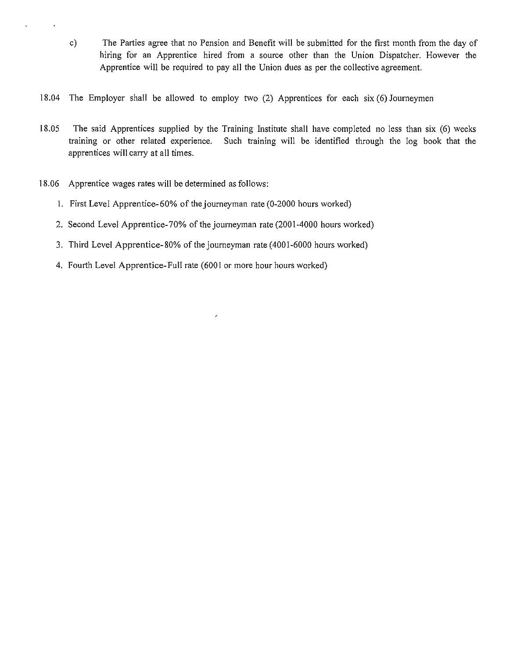- c) The Parties agree that no Pension and Benefit will be submitted for the first month from the day of hiring for an Apprentice hired from a source other than the Union Dispatcher. However the Apprentice will be required to pay all the Union dues as per the collective agreement.
- 18.04 The Employer shall be allowed to employ two (2) Apprentices for each six (6) Journeymen
- 18.05 The said Apprentices supplied by the Training Institute shall have completed no less than six (6) weeks training or other related experience. Such training will be identified through the log book that the apprentices will carry at all times.
- 18.06 Apprentice wages rates will be determined as follows:
	- I. First Level Apprentice-60% of the journeyman rate (0-2000 hours worked)
	- 2. Second Level Apprentice-70% of the journeyman rate (2001-4000 hours worked)
	- 3. Third Level Apprentice-80% of the journeyman rate ( 4001-6000 hours worked)
	- 4. Fourth Level Apprentice-Full rate (6001 or more hour hours worked)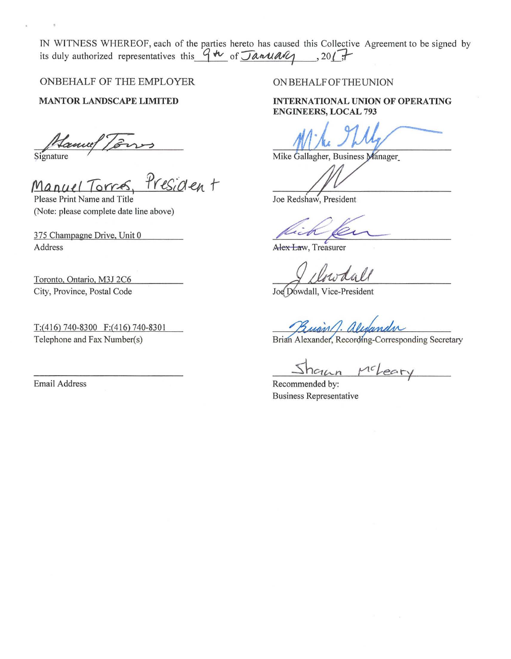IN WITNESS WHEREOF, each of the parties hereto has caused this Collective Agreement to be signed by its duly authorized representatives this  $946$  of January , 2017

ONBEHALF OF THE EMPLOYER

MANTOR LANDSCAPE LIMITED

Signature

signature /<br>Manuel Torres, *Presiden* t

Please Print Name and Title (Note: please complete date line above)

375 Champagne Drive, Unit 0 Address

Toronto, Ontario, M3J 2C6 City, Province, Postal Code

T:(416) 740-8300 F:(416) 740-8301 Telephone and Fax Number(s)

Email Address

#### ON BEHALF OF THE UNION

INTERNATIONAL UNION OF OPERATING ENGINEERS, LOCAL 793

Mike Gallagher, Business Manager

Joe Redshaw, President

**Alex Law**, Treasurer

Joe Dowdall, Vice-President

union

Brian Alexander, Recording-Corresponding Secretary

 $MC$ 

Recommended by: Business Representative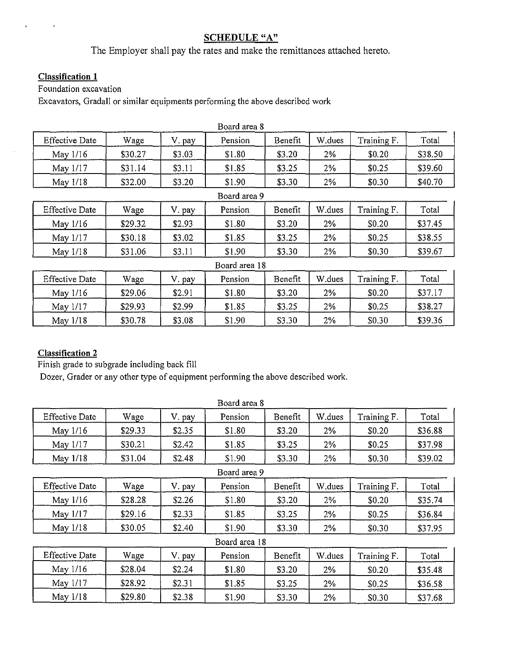# **SCHEDULE** "A"

The Employer shall pay the rates and make the remittances attached hereto.

### **Classification 1**

Foundation excavation

Excavators, Gradall or similar equipments performing the above described work

| Board area 8          |         |        |              |         |         |             |         |  |  |  |  |
|-----------------------|---------|--------|--------------|---------|---------|-------------|---------|--|--|--|--|
| <b>Effective Date</b> | Wage    | pay    | Pension      | Benefit | W, dues | Training F. | Total   |  |  |  |  |
| May 1/16              | \$30.27 | \$3.03 | \$1.80       | \$3.20  | 2%      | \$0.20      | \$38.50 |  |  |  |  |
| May 1/17              | \$31.14 | \$3.11 | \$1.85       | \$3.25  | 2%      | \$0.25      | \$39.60 |  |  |  |  |
| May $1/18$            | \$32.00 | \$3.20 | \$1.90       | \$3.30  | 2%      | \$0.30      | \$40.70 |  |  |  |  |
|                       |         |        | Board area 9 |         |         |             |         |  |  |  |  |

| <b>Effective Date</b> | Wage    | pay    | Pension | Benefit | W.dues | Training F. | Total   |
|-----------------------|---------|--------|---------|---------|--------|-------------|---------|
| May $1/16$            | \$29.32 | \$2.93 | \$1.80  | \$3.20  | 2%     | \$0.20      | \$37.45 |
| May 1/17              | \$30.18 | \$3.02 | \$1.85  | \$3.25  | 2%     | \$0.25      | \$38.55 |
| May 1/18              | \$31.06 | \$3.11 | \$1.90  | \$3.30  | 2%     | \$0.30      | \$39.67 |

|                       | Board area 18 |        |         |         |        |             |         |  |  |  |  |  |  |
|-----------------------|---------------|--------|---------|---------|--------|-------------|---------|--|--|--|--|--|--|
| <b>Effective Date</b> | Wage          | '. pay | Pension | Benefit | W.dues | Training F. | Total   |  |  |  |  |  |  |
| May $1/16$            | \$29.06       | \$2.91 | \$1.80  | \$3.20  | 2%     | \$0.20      | \$37.17 |  |  |  |  |  |  |
| May 1/17              | \$29.93       | \$2.99 | \$1.85  | \$3.25  | 2%     | \$0.25      | \$38.27 |  |  |  |  |  |  |
| May $1/18$            | \$30.78       | \$3.08 | \$1.90  | \$3.30  | 2%     | \$0.30      | \$39.36 |  |  |  |  |  |  |

# **Classification 2**

Finish grade to subgrade including back fill

Dozer, Grader or any other type of equipment performing the above described work.

|                       |         |        | Board area 8  |         |        |             |         |
|-----------------------|---------|--------|---------------|---------|--------|-------------|---------|
| <b>Effective Date</b> | Wage    | V. pay | Pension       | Benefit | W.dues | Training F. | Total   |
| May 1/16              | \$29.33 | \$2.35 | \$1.80        | \$3.20  | 2%     | \$0.20      | \$36.88 |
| May 1/17              | \$30.21 | \$2.42 | \$1.85        | \$3.25  | 2%     | \$0.25      | \$37.98 |
| May 1/18              | \$31.04 | \$2.48 | \$1.90        | \$3.30  | 2%     | \$0.30      | \$39.02 |
|                       |         |        | Board area 9  |         |        |             |         |
| <b>Effective Date</b> | Wage    | V. pay | Pension       | Benefit | W.dues | Training F. | Total   |
| May 1/16              | \$28.28 | \$2.26 | \$1.80        | \$3.20  | 2%     | \$0.20      | \$35.74 |
| May 1/17              | \$29.16 | \$2.33 | \$1.85        | \$3.25  | 2%     | \$0.25      | \$36.84 |
| May 1/18              | \$30.05 | \$2.40 | \$1.90        | \$3.30  | 2%     | \$0.30      | \$37.95 |
|                       |         |        | Board area 18 |         |        |             |         |
| <b>Effective Date</b> | Wage    | V. pay | Pension       | Benefit | W.dues | Training F. | Total   |
| May 1/16              | \$28.04 | \$2.24 | \$1.80        | \$3.20  | 2%     | \$0.20      | \$35.48 |
| May 1/17              | \$28.92 | \$2.31 | \$1.85        | \$3.25  | 2%     | \$0.25      | \$36.58 |
| May 1/18              | \$29.80 | \$2.38 | \$1.90        | \$3.30  | 2%     | \$0.30      | \$37.68 |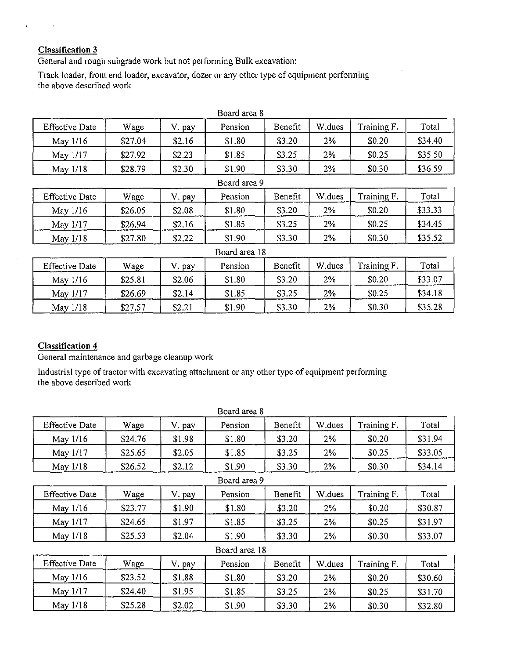# **Classification 3**

 $\pmb{\cdot}$ 

General and rough subgrade work but not performing Bulk excavation:

Track loader, front end loader, excavator, dozer or any other type of equipment performing the above described work

|                       |         |        | Board area 8  |         |        |             |         |
|-----------------------|---------|--------|---------------|---------|--------|-------------|---------|
| <b>Effective Date</b> | Wage    | V. pay | Pension       | Benefit | W.dues | Training F. | Total   |
| May 1/16              | \$27.04 | \$2.16 | \$1.80        | \$3.20  | 2%     | \$0.20      | \$34.40 |
| May 1/17              | \$27.92 | \$2.23 | \$1.85        | \$3.25  | $2\%$  | \$0.25      | \$35.50 |
| May 1/18              | \$28.79 | \$2.30 | \$1.90        | \$3.30  | 2%     | \$0.30      | \$36.59 |
|                       |         |        | Board area 9  |         |        |             |         |
| <b>Effective Date</b> | Wage    | V. pay | Pension       | Benefit | W.dues | Training F. | Total   |
| May 1/16              | \$26.05 | \$2.08 | \$1.80        | \$3.20  | 2%     | \$0.20      | \$33.33 |
| May 1/17              | \$26.94 | \$2.16 | \$1.85        | \$3.25  | 2%     | \$0.25      | \$34.45 |
| May 1/18              | \$27.80 | \$2.22 | \$1.90        | \$3.30  | 2%     | \$0.30      | \$35.52 |
|                       |         |        | Board area 18 |         |        |             |         |
| <b>Effective Date</b> | Wage    | V. pay | Pension       | Benefit | W.dues | Training F. | Total   |
| May 1/16              | \$25.81 | \$2.06 | \$1.80        | \$3.20  | 2%     | \$0.20      | \$33.07 |
| May 1/17              | \$26.69 | \$2.14 | \$1.85        | \$3.25  | $2\%$  | \$0.25      | \$34.18 |
| May 1/18              | \$27.57 | \$2.21 | \$1.90        | \$3.30  | 2%     | \$0.30      | \$35.28 |

# **Classification 4**

General maintenance and garbage cleanup work

Industrial type of tractor with excavating attachment or any other type of equipment performing the above described work

|                       |         |        | Board area 8  |         |        |             |         |
|-----------------------|---------|--------|---------------|---------|--------|-------------|---------|
| <b>Effective Date</b> | Wage    | V. pay | Pension       | Benefit | W.dues | Training F. | Total   |
| May 1/16              | \$24.76 | \$1.98 | \$1.80        | \$3.20  | 2%     | \$0.20      | \$31.94 |
| May 1/17              | \$25.65 | \$2.05 | \$1.85        | \$3.25  | $2\%$  | \$0.25      | \$33.05 |
| May 1/18              | \$26.52 | \$2.12 | \$1.90        | \$3.30  | $2\%$  | \$0.30      | \$34.14 |
|                       |         |        | Board area 9  |         |        |             |         |
| <b>Effective Date</b> | Wage    | V. pay | Pension       | Benefit | W.dues | Training F. | Total   |
| May 1/16              | \$23.77 | \$1.90 | \$1.80        | \$3.20  | 2%     | \$0.20      | \$30.87 |
| May 1/17              | \$24.65 | \$1.97 | \$1.85        | \$3.25  | 2%     | \$0.25      | \$31.97 |
| May 1/18              | \$25.53 | \$2.04 | \$1.90        | \$3.30  | 2%     | \$0.30      | \$33.07 |
|                       |         |        | Board area 18 |         |        |             |         |
| <b>Effective Date</b> | Wage    | V. pay | Pension       | Benefit | W.dues | Training F. | Total   |
| May 1/16              | \$23.52 | \$1.88 | \$1.80        | \$3.20  | $2\%$  | \$0.20      | \$30.60 |
| May 1/17              | \$24.40 | \$1.95 | \$1.85        | \$3.25  | $2\%$  | \$0.25      | \$31.70 |
| May 1/18              | \$25.28 | \$2.02 | \$1.90        | \$3.30  | 2%     | \$0.30      | \$32.80 |